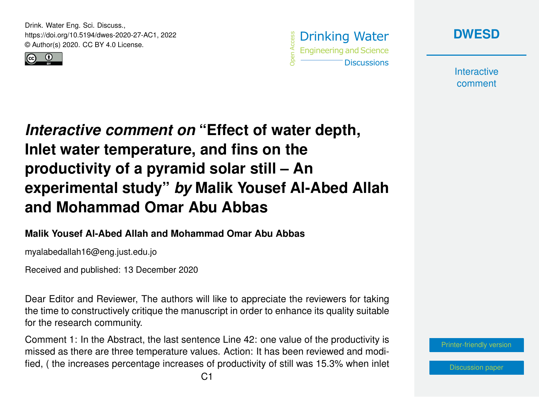Drink. Water Eng. Sci. Discuss., https://doi.org/10.5194/dwes-2020-27-AC1, 2022 © Author(s) 2020. CC BY 4.0 License.







**Interactive** comment

## *Interactive comment on* **"Effect of water depth, Inlet water temperature, and fins on the productivity of a pyramid solar still – An experimental study"** *by* **Malik Yousef Al-Abed Allah and Mohammad Omar Abu Abbas**

## **Malik Yousef Al-Abed Allah and Mohammad Omar Abu Abbas**

myalabedallah16@eng.just.edu.jo

Received and published: 13 December 2020

Dear Editor and Reviewer, The authors will like to appreciate the reviewers for taking the time to constructively critique the manuscript in order to enhance its quality suitable for the research community.

Comment 1: In the Abstract, the last sentence Line 42: one value of the productivity is missed as there are three temperature values. Action: It has been reviewed and modified, ( the increases percentage increases of productivity of still was 15.3% when inlet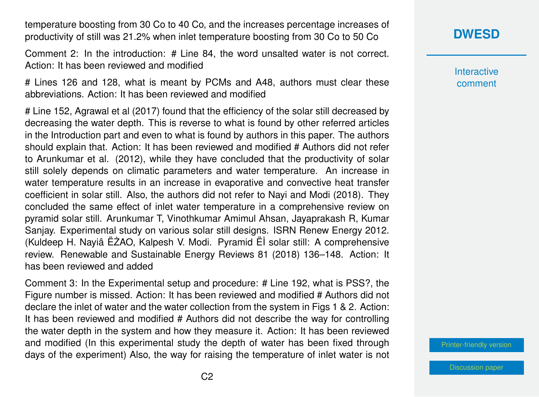temperature boosting from 30 Co to 40 Co, and the increases percentage increases of productivity of still was 21.2% when inlet temperature boosting from 30 Co to 50 Co

Comment 2: In the introduction: # Line 84, the word unsalted water is not correct. Action: It has been reviewed and modified

# Lines 126 and 128, what is meant by PCMs and A48, authors must clear these abbreviations. Action: It has been reviewed and modified

# Line 152, Agrawal et al (2017) found that the efficiency of the solar still decreased by decreasing the water depth. This is reverse to what is found by other referred articles in the Introduction part and even to what is found by authors in this paper. The authors should explain that. Action: It has been reviewed and modified # Authors did not refer to Arunkumar et al. (2012), while they have concluded that the productivity of solar still solely depends on climatic parameters and water temperature. An increase in water temperature results in an increase in evaporative and convective heat transfer coefficient in solar still. Also, the authors did not refer to Nayi and Modi (2018). They concluded the same effect of inlet water temperature in a comprehensive review on pyramid solar still. Arunkumar T, Vinothkumar Amimul Ahsan, Jayaprakash R, Kumar Sanjay. Experimental study on various solar still designs. ISRN Renew Energy 2012. (Kuldeep H. Nayiâ ËZAO, Kalpesh V. Modi. Pyramid Ël solar still: A comprehensive review. Renewable and Sustainable Energy Reviews 81 (2018) 136–148. Action: It has been reviewed and added

Comment 3: In the Experimental setup and procedure: # Line 192, what is PSS?, the Figure number is missed. Action: It has been reviewed and modified # Authors did not declare the inlet of water and the water collection from the system in Figs 1 & 2. Action: It has been reviewed and modified # Authors did not describe the way for controlling the water depth in the system and how they measure it. Action: It has been reviewed and modified (In this experimental study the depth of water has been fixed through days of the experiment) Also, the way for raising the temperature of inlet water is not

## **[DWESD](https://dwes.copernicus.org/preprints/)**

**Interactive** comment

[Printer-friendly version](https://dwes.copernicus.org/preprints/dwes-2020-27/dwes-2020-27-AC1-print.pdf)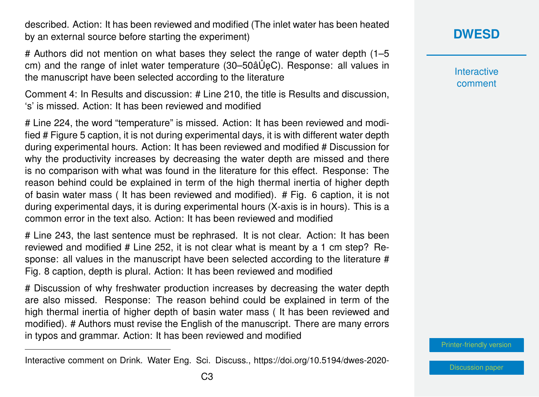described. Action: It has been reviewed and modified (The inlet water has been heated by an external source before starting the experiment)

# Authors did not mention on what bases they select the range of water depth (1–5 cm) and the range of inlet water temperature (30–50âU
eC). Response: all values in the manuscript have been selected according to the literature

Comment 4: In Results and discussion: # Line 210, the title is Results and discussion, 's' is missed. Action: It has been reviewed and modified

# Line 224, the word "temperature" is missed. Action: It has been reviewed and modified # Figure 5 caption, it is not during experimental days, it is with different water depth during experimental hours. Action: It has been reviewed and modified # Discussion for why the productivity increases by decreasing the water depth are missed and there is no comparison with what was found in the literature for this effect. Response: The reason behind could be explained in term of the high thermal inertia of higher depth of basin water mass ( It has been reviewed and modified). # Fig. 6 caption, it is not during experimental days, it is during experimental hours (X-axis is in hours). This is a common error in the text also. Action: It has been reviewed and modified

# Line 243, the last sentence must be rephrased. It is not clear. Action: It has been reviewed and modified # Line 252, it is not clear what is meant by a 1 cm step? Response: all values in the manuscript have been selected according to the literature # Fig. 8 caption, depth is plural. Action: It has been reviewed and modified

# Discussion of why freshwater production increases by decreasing the water depth are also missed. Response: The reason behind could be explained in term of the high thermal inertia of higher depth of basin water mass ( It has been reviewed and modified). # Authors must revise the English of the manuscript. There are many errors in typos and grammar. Action: It has been reviewed and modified

**Interactive** comment

[Printer-friendly version](https://dwes.copernicus.org/preprints/dwes-2020-27/dwes-2020-27-AC1-print.pdf)

Interactive comment on Drink. Water Eng. Sci. Discuss., https://doi.org/10.5194/dwes-2020-